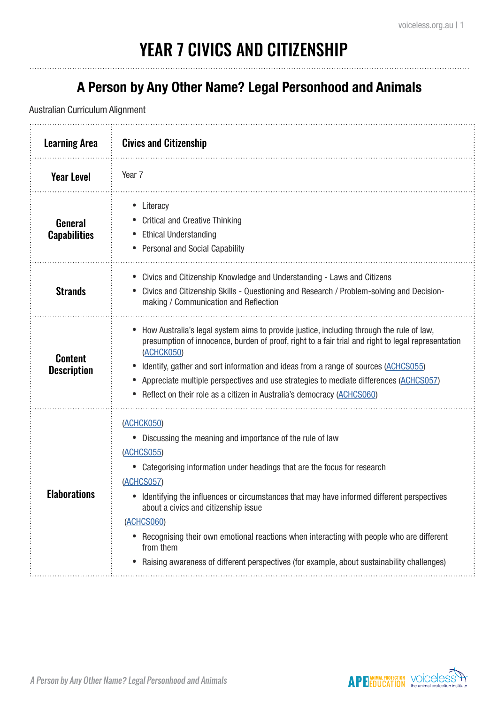# YEAR 7 CIVICS AND CITIZENSHIP

#### **A Person by Any Other Name? Legal Personhood and Animals**

| <b>Learning Area</b>                  | <b>Civics and Citizenship</b>                                                                                                                                                                                                                                                                                                                                                                                                                                                                                                             |
|---------------------------------------|-------------------------------------------------------------------------------------------------------------------------------------------------------------------------------------------------------------------------------------------------------------------------------------------------------------------------------------------------------------------------------------------------------------------------------------------------------------------------------------------------------------------------------------------|
| <b>Year Level</b>                     | Year 7                                                                                                                                                                                                                                                                                                                                                                                                                                                                                                                                    |
| <b>General</b><br><b>Capabilities</b> | Literacy<br>$\bullet$<br><b>Critical and Creative Thinking</b><br><b>Ethical Understanding</b><br><b>Personal and Social Capability</b>                                                                                                                                                                                                                                                                                                                                                                                                   |
| <b>Strands</b>                        | Civics and Citizenship Knowledge and Understanding - Laws and Citizens<br>Civics and Citizenship Skills - Questioning and Research / Problem-solving and Decision-<br>making / Communication and Reflection                                                                                                                                                                                                                                                                                                                               |
| <b>Content</b><br><b>Description</b>  | How Australia's legal system aims to provide justice, including through the rule of law,<br>$\bullet$<br>presumption of innocence, burden of proof, right to a fair trial and right to legal representation<br>(ACHCK050)<br>Identify, gather and sort information and ideas from a range of sources (ACHCS055)<br>Appreciate multiple perspectives and use strategies to mediate differences (ACHCS057)<br>Reflect on their role as a citizen in Australia's democracy (ACHCS060)                                                        |
| <b>Elaborations</b>                   | (ACHCK050)<br>Discussing the meaning and importance of the rule of law<br>(ACHCS055)<br>Categorising information under headings that are the focus for research<br>(ACHCS057)<br>Identifying the influences or circumstances that may have informed different perspectives<br>about a civics and citizenship issue<br>(ACHCS060)<br>• Recognising their own emotional reactions when interacting with people who are different<br>from them<br>Raising awareness of different perspectives (for example, about sustainability challenges) |

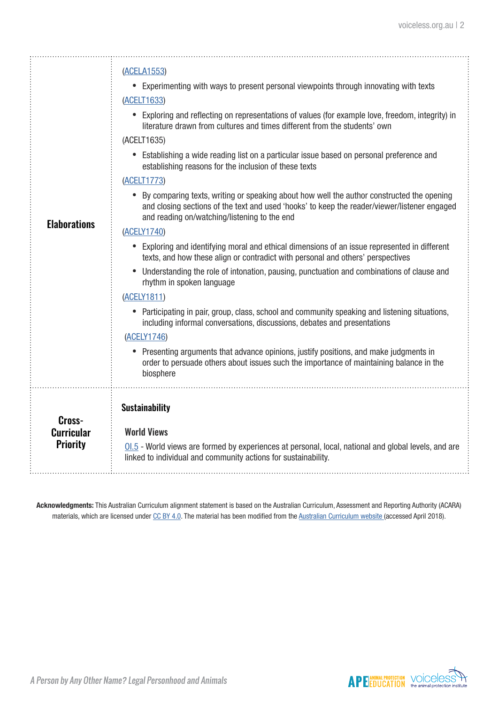| <b>Elaborations</b>                            | (ACELA1553)<br>• Experimenting with ways to present personal viewpoints through innovating with texts<br>(ACELT1633)<br>• Exploring and reflecting on representations of values (for example love, freedom, integrity) in<br>literature drawn from cultures and times different from the students' own<br>(ACELT1635)<br>• Establishing a wide reading list on a particular issue based on personal preference and<br>establishing reasons for the inclusion of these texts<br>(ACELT1773)<br>• By comparing texts, writing or speaking about how well the author constructed the opening<br>and closing sections of the text and used 'hooks' to keep the reader/viewer/listener engaged<br>and reading on/watching/listening to the end<br>(ACELY1740)<br>• Exploring and identifying moral and ethical dimensions of an issue represented in different<br>texts, and how these align or contradict with personal and others' perspectives<br>Understanding the role of intonation, pausing, punctuation and combinations of clause and<br>rhythm in spoken language<br>(ACELY1811)<br>• Participating in pair, group, class, school and community speaking and listening situations,<br>including informal conversations, discussions, debates and presentations<br>(ACELY1746)<br>Presenting arguments that advance opinions, justify positions, and make judgments in<br>order to persuade others about issues such the importance of maintaining balance in the<br>biosphere |
|------------------------------------------------|------------------------------------------------------------------------------------------------------------------------------------------------------------------------------------------------------------------------------------------------------------------------------------------------------------------------------------------------------------------------------------------------------------------------------------------------------------------------------------------------------------------------------------------------------------------------------------------------------------------------------------------------------------------------------------------------------------------------------------------------------------------------------------------------------------------------------------------------------------------------------------------------------------------------------------------------------------------------------------------------------------------------------------------------------------------------------------------------------------------------------------------------------------------------------------------------------------------------------------------------------------------------------------------------------------------------------------------------------------------------------------------------------------------------------------------------------------------------------------|
| Cross-<br><b>Curricular</b><br><b>Priority</b> | <b>Sustainability</b><br><b>World Views</b><br>$\underline{\text{01.5}}$ - World views are formed by experiences at personal, local, national and global levels, and are<br>linked to individual and community actions for sustainability.                                                                                                                                                                                                                                                                                                                                                                                                                                                                                                                                                                                                                                                                                                                                                                                                                                                                                                                                                                                                                                                                                                                                                                                                                                         |

**Acknowledgments:** This Australian Curriculum alignment statement is based on the Australian Curriculum, Assessment and Reporting Authority (ACARA) materials, which are licensed under [CC BY 4.0](https://creativecommons.org/licenses/by/4.0). The material has been modified from the [Australian Curriculum website](http://www.australiancurriculum.edu.au) (accessed April 2018).

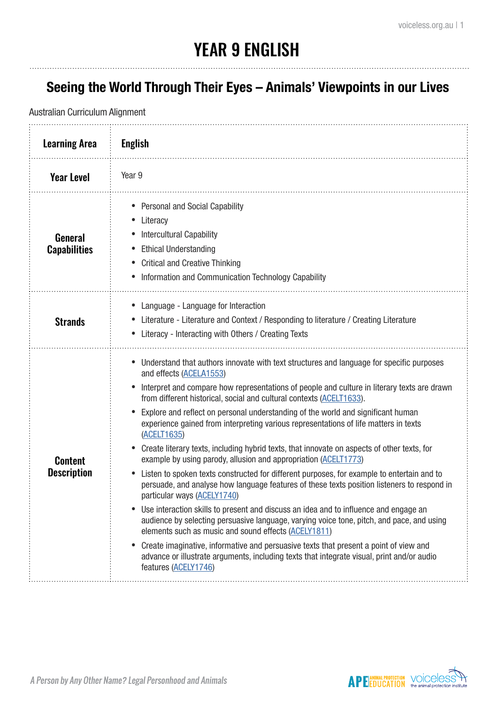### YEAR 9 ENGLISH

#### **Seeing the World Through Their Eyes – Animals' Viewpoints in our Lives**

| <b>Learning Area</b>                 | <b>English</b>                                                                                                                                                                                                                                                                                                                                                                                                                                                                                                                                                                                                                                                                                                                                                                                                                                                                                                                                                                                                                                                                                                                                                                                                                                                                                                                                  |
|--------------------------------------|-------------------------------------------------------------------------------------------------------------------------------------------------------------------------------------------------------------------------------------------------------------------------------------------------------------------------------------------------------------------------------------------------------------------------------------------------------------------------------------------------------------------------------------------------------------------------------------------------------------------------------------------------------------------------------------------------------------------------------------------------------------------------------------------------------------------------------------------------------------------------------------------------------------------------------------------------------------------------------------------------------------------------------------------------------------------------------------------------------------------------------------------------------------------------------------------------------------------------------------------------------------------------------------------------------------------------------------------------|
| <b>Year Level</b>                    | Year 9                                                                                                                                                                                                                                                                                                                                                                                                                                                                                                                                                                                                                                                                                                                                                                                                                                                                                                                                                                                                                                                                                                                                                                                                                                                                                                                                          |
| General<br><b>Capabilities</b>       | <b>Personal and Social Capability</b><br>Literacy<br><b>Intercultural Capability</b><br><b>Ethical Understanding</b><br><b>Critical and Creative Thinking</b><br>Information and Communication Technology Capability                                                                                                                                                                                                                                                                                                                                                                                                                                                                                                                                                                                                                                                                                                                                                                                                                                                                                                                                                                                                                                                                                                                            |
| <b>Strands</b>                       | Language - Language for Interaction<br>Literature - Literature and Context / Responding to literature / Creating Literature<br>Literacy - Interacting with Others / Creating Texts                                                                                                                                                                                                                                                                                                                                                                                                                                                                                                                                                                                                                                                                                                                                                                                                                                                                                                                                                                                                                                                                                                                                                              |
| <b>Content</b><br><b>Description</b> | Understand that authors innovate with text structures and language for specific purposes<br>and effects (ACELA1553)<br>Interpret and compare how representations of people and culture in literary texts are drawn<br>from different historical, social and cultural contexts (ACELT1633).<br>Explore and reflect on personal understanding of the world and significant human<br>experience gained from interpreting various representations of life matters in texts<br>(ACELT1635)<br>Create literary texts, including hybrid texts, that innovate on aspects of other texts, for<br>example by using parody, allusion and appropriation (ACELT1773)<br>Listen to spoken texts constructed for different purposes, for example to entertain and to<br>persuade, and analyse how language features of these texts position listeners to respond in<br>particular ways (ACELY1740)<br>Use interaction skills to present and discuss an idea and to influence and engage an<br>audience by selecting persuasive language, varying voice tone, pitch, and pace, and using<br>elements such as music and sound effects (ACELY1811)<br>Create imaginative, informative and persuasive texts that present a point of view and<br>advance or illustrate arguments, including texts that integrate visual, print and/or audio<br>features (ACELY1746) |

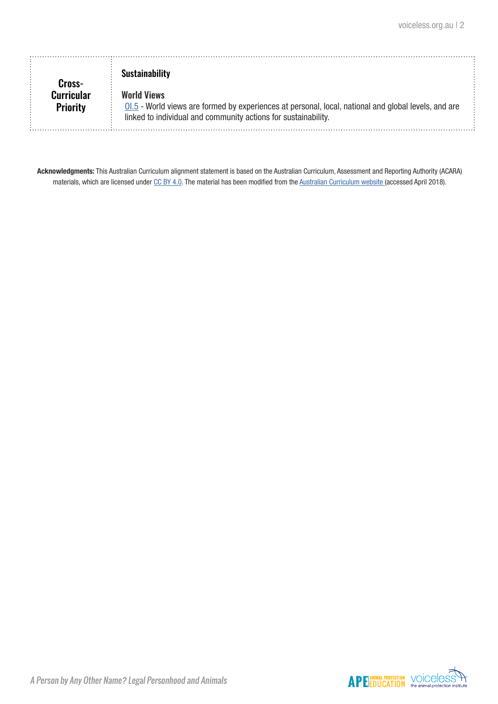| Cross-                        | <b>Sustainability</b>                                                                                                                                                                        |  |
|-------------------------------|----------------------------------------------------------------------------------------------------------------------------------------------------------------------------------------------|--|
| Curricular<br><b>Priority</b> | <b>World Views</b><br>01.5 - World views are formed by experiences at personal, local, national and global levels, and are<br>linked to individual and community actions for sustainability. |  |

**Acknowledgments:** This Australian Curriculum alignment statement is based on the Australian Curriculum, Assessment and Reporting Authority (ACARA) materials, which are licensed under [CC BY 4.0](https://creativecommons.org/licenses/by/4.0). The material has been modified from the [Australian Curriculum website](http://www.australiancurriculum.edu.au) (accessed April 2018).

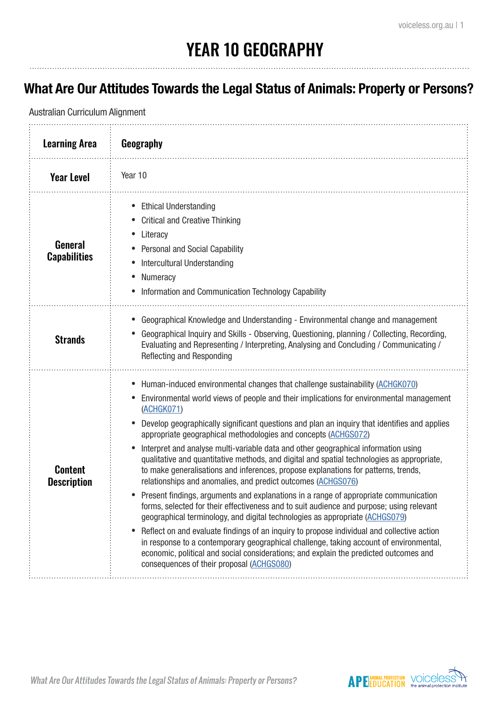### YEAR 10 GEOGRAPHY

#### **What Are Our Attitudes Towards the Legal Status of Animals: Property or Persons?**

| <b>Learning Area</b>                 | Geography                                                                                                                                                                                                                                                                                                                                                                                                                                                                                                                                                                                                                                                                                                                                                                                                                                                                                                                                                                                                                                                                                                                                                                                                                                                                                                        |
|--------------------------------------|------------------------------------------------------------------------------------------------------------------------------------------------------------------------------------------------------------------------------------------------------------------------------------------------------------------------------------------------------------------------------------------------------------------------------------------------------------------------------------------------------------------------------------------------------------------------------------------------------------------------------------------------------------------------------------------------------------------------------------------------------------------------------------------------------------------------------------------------------------------------------------------------------------------------------------------------------------------------------------------------------------------------------------------------------------------------------------------------------------------------------------------------------------------------------------------------------------------------------------------------------------------------------------------------------------------|
| <b>Year Level</b>                    | Year 10                                                                                                                                                                                                                                                                                                                                                                                                                                                                                                                                                                                                                                                                                                                                                                                                                                                                                                                                                                                                                                                                                                                                                                                                                                                                                                          |
| General<br><b>Capabilities</b>       | <b>Ethical Understanding</b><br>$\bullet$<br><b>Critical and Creative Thinking</b><br>Literacy<br>Personal and Social Capability<br>Intercultural Understanding<br>Numeracy<br>Information and Communication Technology Capability                                                                                                                                                                                                                                                                                                                                                                                                                                                                                                                                                                                                                                                                                                                                                                                                                                                                                                                                                                                                                                                                               |
| <b>Strands</b>                       | Geographical Knowledge and Understanding - Environmental change and management<br>Geographical Inquiry and Skills - Observing, Questioning, planning / Collecting, Recording,<br>Evaluating and Representing / Interpreting, Analysing and Concluding / Communicating /<br>Reflecting and Responding                                                                                                                                                                                                                                                                                                                                                                                                                                                                                                                                                                                                                                                                                                                                                                                                                                                                                                                                                                                                             |
| <b>Content</b><br><b>Description</b> | Human-induced environmental changes that challenge sustainability (ACHGK070)<br>$\bullet$<br>Environmental world views of people and their implications for environmental management<br>(ACHGK071)<br>Develop geographically significant questions and plan an inquiry that identifies and applies<br>appropriate geographical methodologies and concepts (ACHGS072)<br>Interpret and analyse multi-variable data and other geographical information using<br>qualitative and quantitative methods, and digital and spatial technologies as appropriate,<br>to make generalisations and inferences, propose explanations for patterns, trends,<br>relationships and anomalies, and predict outcomes (ACHGS076)<br>Present findings, arguments and explanations in a range of appropriate communication<br>forms, selected for their effectiveness and to suit audience and purpose; using relevant<br>geographical terminology, and digital technologies as appropriate (ACHGS079)<br>Reflect on and evaluate findings of an inquiry to propose individual and collective action<br>in response to a contemporary geographical challenge, taking account of environmental,<br>economic, political and social considerations; and explain the predicted outcomes and<br>consequences of their proposal (ACHGS080) |

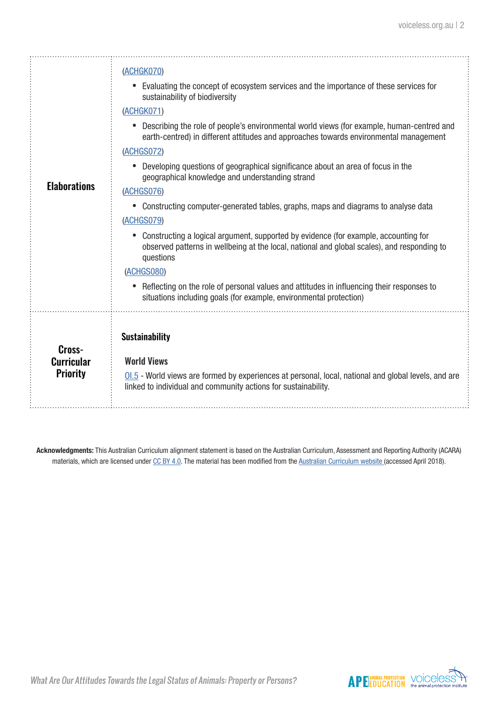| <b>Elaborations</b>                            | (ACHGK070)<br>Evaluating the concept of ecosystem services and the importance of these services for<br>sustainability of biodiversity<br>(ACHGK071)<br>Describing the role of people's environmental world views (for example, human-centred and<br>earth-centred) in different attitudes and approaches towards environmental management<br>(ACHGS072)<br>Developing questions of geographical significance about an area of focus in the<br>geographical knowledge and understanding strand<br>(ACHGS076)<br>Constructing computer-generated tables, graphs, maps and diagrams to analyse data<br>(ACHGS079)<br>Constructing a logical argument, supported by evidence (for example, accounting for<br>observed patterns in wellbeing at the local, national and global scales), and responding to<br>questions<br>(ACHGS080)<br>Reflecting on the role of personal values and attitudes in influencing their responses to<br>situations including goals (for example, environmental protection) |
|------------------------------------------------|----------------------------------------------------------------------------------------------------------------------------------------------------------------------------------------------------------------------------------------------------------------------------------------------------------------------------------------------------------------------------------------------------------------------------------------------------------------------------------------------------------------------------------------------------------------------------------------------------------------------------------------------------------------------------------------------------------------------------------------------------------------------------------------------------------------------------------------------------------------------------------------------------------------------------------------------------------------------------------------------------|
| Cross-<br><b>Curricular</b><br><b>Priority</b> | <b>Sustainability</b><br><b>World Views</b><br>$0.5$ - World views are formed by experiences at personal, local, national and global levels, and are<br>linked to individual and community actions for sustainability.                                                                                                                                                                                                                                                                                                                                                                                                                                                                                                                                                                                                                                                                                                                                                                             |

**Acknowledgments:** This Australian Curriculum alignment statement is based on the Australian Curriculum, Assessment and Reporting Authority (ACARA) materials, which are licensed under [CC BY 4.0](https://creativecommons.org/licenses/by/4.0). The material has been modified from the [Australian Curriculum website](http://www.australiancurriculum.edu.au) (accessed April 2018).



What Are Our Attitudes Towards the Legal Status of Animals: Property or Persons?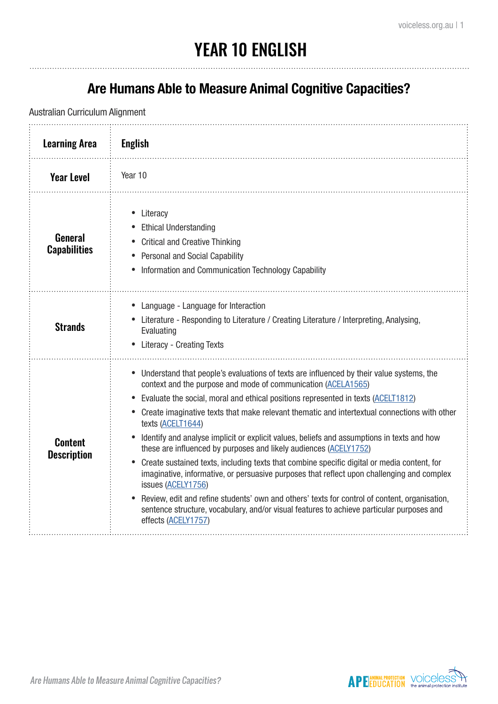## YEAR 10 ENGLISH

#### **Are Humans Able to Measure Animal Cognitive Capacities?**

| <b>Learning Area</b>                 | <b>English</b>                                                                                                                                                                                                                                                                                                                                                                                                                                                                                                                                                                                                                                                                                                                                                                                                                                                                                                                                                                 |
|--------------------------------------|--------------------------------------------------------------------------------------------------------------------------------------------------------------------------------------------------------------------------------------------------------------------------------------------------------------------------------------------------------------------------------------------------------------------------------------------------------------------------------------------------------------------------------------------------------------------------------------------------------------------------------------------------------------------------------------------------------------------------------------------------------------------------------------------------------------------------------------------------------------------------------------------------------------------------------------------------------------------------------|
| <b>Year Level</b>                    | Year 10                                                                                                                                                                                                                                                                                                                                                                                                                                                                                                                                                                                                                                                                                                                                                                                                                                                                                                                                                                        |
| General<br><b>Capabilities</b>       | Literacy<br>$\bullet$<br><b>Ethical Understanding</b><br><b>Critical and Creative Thinking</b><br><b>Personal and Social Capability</b><br>Information and Communication Technology Capability                                                                                                                                                                                                                                                                                                                                                                                                                                                                                                                                                                                                                                                                                                                                                                                 |
| <b>Strands</b>                       | Language - Language for Interaction<br>Literature - Responding to Literature / Creating Literature / Interpreting, Analysing,<br>Evaluating<br><b>Literacy - Creating Texts</b>                                                                                                                                                                                                                                                                                                                                                                                                                                                                                                                                                                                                                                                                                                                                                                                                |
| <b>Content</b><br><b>Description</b> | Understand that people's evaluations of texts are influenced by their value systems, the<br>context and the purpose and mode of communication (ACELA1565)<br>Evaluate the social, moral and ethical positions represented in texts (ACELT1812)<br>Create imaginative texts that make relevant thematic and intertextual connections with other<br>texts (ACELT1644)<br>Identify and analyse implicit or explicit values, beliefs and assumptions in texts and how<br>these are influenced by purposes and likely audiences (ACELY1752)<br>Create sustained texts, including texts that combine specific digital or media content, for<br>imaginative, informative, or persuasive purposes that reflect upon challenging and complex<br>issues (ACELY1756)<br>Review, edit and refine students' own and others' texts for control of content, organisation,<br>sentence structure, vocabulary, and/or visual features to achieve particular purposes and<br>effects (ACELY1757) |

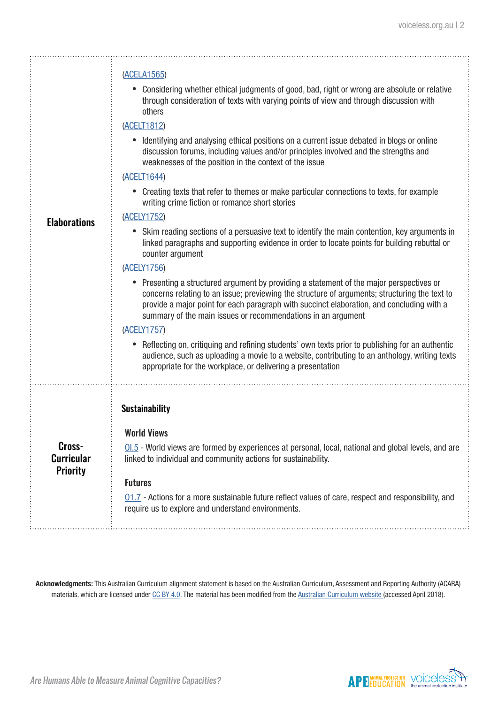|                                                | (ACELA1565)                                                                                                                                                                                                                                                                                                                                          |
|------------------------------------------------|------------------------------------------------------------------------------------------------------------------------------------------------------------------------------------------------------------------------------------------------------------------------------------------------------------------------------------------------------|
|                                                | Considering whether ethical judgments of good, bad, right or wrong are absolute or relative<br>through consideration of texts with varying points of view and through discussion with<br>others                                                                                                                                                      |
|                                                | (ACELT1812)                                                                                                                                                                                                                                                                                                                                          |
|                                                | Identifying and analysing ethical positions on a current issue debated in blogs or online<br>discussion forums, including values and/or principles involved and the strengths and<br>weaknesses of the position in the context of the issue                                                                                                          |
|                                                | (ACELT1644)                                                                                                                                                                                                                                                                                                                                          |
|                                                | Creating texts that refer to themes or make particular connections to texts, for example<br>$\bullet$<br>writing crime fiction or romance short stories                                                                                                                                                                                              |
| <b>Elaborations</b>                            | (ACELY1752)                                                                                                                                                                                                                                                                                                                                          |
|                                                | Skim reading sections of a persuasive text to identify the main contention, key arguments in<br>linked paragraphs and supporting evidence in order to locate points for building rebuttal or<br>counter argument                                                                                                                                     |
|                                                | (ACELY1756)                                                                                                                                                                                                                                                                                                                                          |
|                                                | Presenting a structured argument by providing a statement of the major perspectives or<br>concerns relating to an issue; previewing the structure of arguments; structuring the text to<br>provide a major point for each paragraph with succinct elaboration, and concluding with a<br>summary of the main issues or recommendations in an argument |
|                                                | (ACELY1757)                                                                                                                                                                                                                                                                                                                                          |
|                                                | Reflecting on, critiquing and refining students' own texts prior to publishing for an authentic<br>$\bullet$<br>audience, such as uploading a movie to a website, contributing to an anthology, writing texts<br>appropriate for the workplace, or delivering a presentation                                                                         |
|                                                | <b>Sustainability</b>                                                                                                                                                                                                                                                                                                                                |
|                                                |                                                                                                                                                                                                                                                                                                                                                      |
| Cross-<br><b>Curricular</b><br><b>Priority</b> | <b>World Views</b>                                                                                                                                                                                                                                                                                                                                   |
|                                                | $\underline{\text{01.5}}$ - World views are formed by experiences at personal, local, national and global levels, and are<br>linked to individual and community actions for sustainability.                                                                                                                                                          |
|                                                | <b>Futures</b>                                                                                                                                                                                                                                                                                                                                       |
|                                                | $01.7$ - Actions for a more sustainable future reflect values of care, respect and responsibility, and<br>require us to explore and understand environments.                                                                                                                                                                                         |
|                                                |                                                                                                                                                                                                                                                                                                                                                      |

**Acknowledgments:** This Australian Curriculum alignment statement is based on the Australian Curriculum, Assessment and Reporting Authority (ACARA) materials, which are licensed under [CC BY 4.0](https://creativecommons.org/licenses/by/4.0). The material has been modified from the [Australian Curriculum website](http://www.australiancurriculum.edu.au) (accessed April 2018).

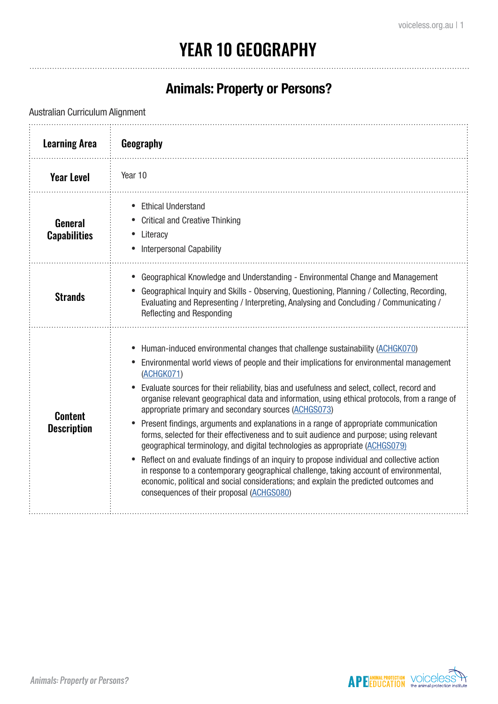## YEAR 10 GEOGRAPHY

#### **Animals: Property or Persons?**

| <b>Learning Area</b>                 | Geography                                                                                                                                                                                                                                                                                                                                                                                                                                                                                                                                                                                                                                                                                                                                                                                                                                                                                                                                                                                                                                       |
|--------------------------------------|-------------------------------------------------------------------------------------------------------------------------------------------------------------------------------------------------------------------------------------------------------------------------------------------------------------------------------------------------------------------------------------------------------------------------------------------------------------------------------------------------------------------------------------------------------------------------------------------------------------------------------------------------------------------------------------------------------------------------------------------------------------------------------------------------------------------------------------------------------------------------------------------------------------------------------------------------------------------------------------------------------------------------------------------------|
| <b>Year Level</b>                    | Year 10                                                                                                                                                                                                                                                                                                                                                                                                                                                                                                                                                                                                                                                                                                                                                                                                                                                                                                                                                                                                                                         |
| General<br><b>Capabilities</b>       | <b>Ethical Understand</b><br><b>Critical and Creative Thinking</b><br>Literacy<br><b>Interpersonal Capability</b>                                                                                                                                                                                                                                                                                                                                                                                                                                                                                                                                                                                                                                                                                                                                                                                                                                                                                                                               |
| <b>Strands</b>                       | Geographical Knowledge and Understanding - Environmental Change and Management<br>Geographical Inquiry and Skills - Observing, Questioning, Planning / Collecting, Recording,<br>Evaluating and Representing / Interpreting, Analysing and Concluding / Communicating /<br>Reflecting and Responding                                                                                                                                                                                                                                                                                                                                                                                                                                                                                                                                                                                                                                                                                                                                            |
| <b>Content</b><br><b>Description</b> | Human-induced environmental changes that challenge sustainability (ACHGK070)<br>Environmental world views of people and their implications for environmental management<br>(ACHGK071)<br>Evaluate sources for their reliability, bias and usefulness and select, collect, record and<br>organise relevant geographical data and information, using ethical protocols, from a range of<br>appropriate primary and secondary sources (ACHGS073)<br>Present findings, arguments and explanations in a range of appropriate communication<br>forms, selected for their effectiveness and to suit audience and purpose; using relevant<br>geographical terminology, and digital technologies as appropriate (ACHGS079)<br>Reflect on and evaluate findings of an inquiry to propose individual and collective action<br>in response to a contemporary geographical challenge, taking account of environmental,<br>economic, political and social considerations; and explain the predicted outcomes and<br>consequences of their proposal (ACHGS080) |